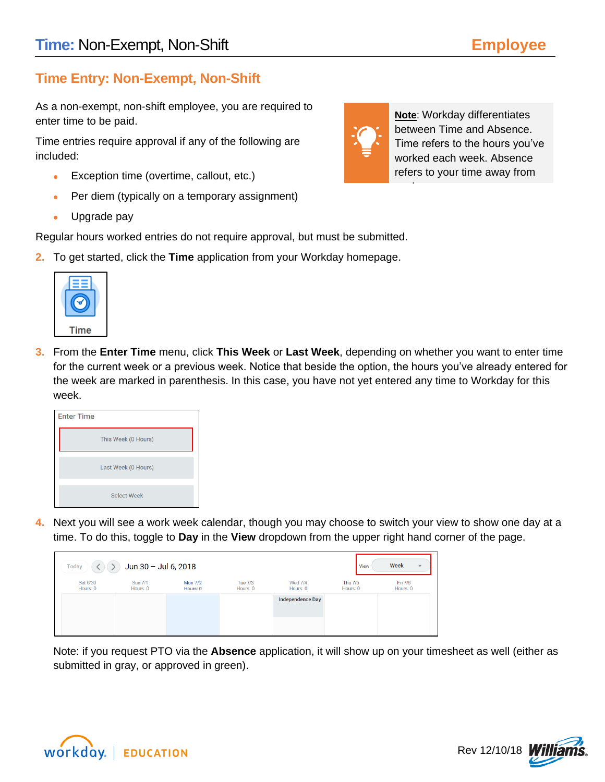# **Time Entry: Non-Exempt, Non-Shift**

As a non-exempt, non-shift employee, you are required to enter time to be paid.

Time entries require approval if any of the following are included:

- Exception time (overtime, callout, etc.)
- Per diem (typically on a temporary assignment)
- Upgrade pay

Regular hours worked entries do not require approval, but must be submitted.

**2.** To get started, click the **Time** application from your Workday homepage.



**3.** From the **Enter Time** menu, click **This Week** or **Last Week**, depending on whether you want to enter time for the current week or a previous week. Notice that beside the option, the hours you've already entered for the week are marked in parenthesis. In this case, you have not yet entered any time to Workday for this week.

| <b>Enter Time</b> |                     |
|-------------------|---------------------|
|                   | This Week (0 Hours) |
|                   | Last Week (0 Hours) |
|                   | <b>Select Week</b>  |

**4.** Next you will see a work week calendar, though you may choose to switch your view to show one day at a time. To do this, toggle to **Day** in the **View** dropdown from the upper right hand corner of the page.



Note: if you request PTO via the **Absence** application, it will show up on your timesheet as well (either as submitted in gray, or approved in green).





work.

**Note**: Workday differentiates between Time and Absence. Time refers to the hours you've worked each week. Absence refers to your time away from

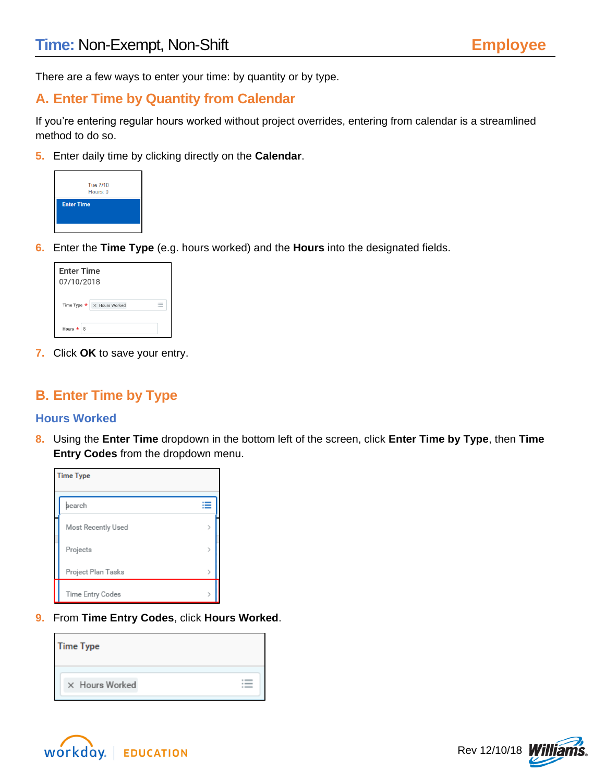There are a few ways to enter your time: by quantity or by type.

## **A. Enter Time by Quantity from Calendar**

If you're entering regular hours worked without project overrides, entering from calendar is a streamlined method to do so.

**5.** Enter daily time by clicking directly on the **Calendar**.



**6.** Enter the **Time Type** (e.g. hours worked) and the **Hours** into the designated fields.

| <b>Enter Time</b><br>07/10/2018 |                                       |  |  |  |  |  |
|---------------------------------|---------------------------------------|--|--|--|--|--|
|                                 | Time Type $\star \times$ Hours Worked |  |  |  |  |  |
| Hours $\star$ 8                 |                                       |  |  |  |  |  |

**7.** Click **OK** to save your entry.

## **B. Enter Time by Type**

### **Hours Worked**

**8.** Using the **Enter Time** dropdown in the bottom left of the screen, click **Enter Time by Type**, then **Time Entry Codes** from the dropdown menu.

| <b>Time Type</b>   |   |
|--------------------|---|
| search             | ≔ |
| Most Recently Used | 3 |
| Projects           |   |
| Project Plan Tasks |   |
| Time Entry Codes   |   |

**9.** From **Time Entry Codes**, click **Hours Worked**.

| <b>Time Type</b> |  |
|------------------|--|
| X Hours Worked   |  |



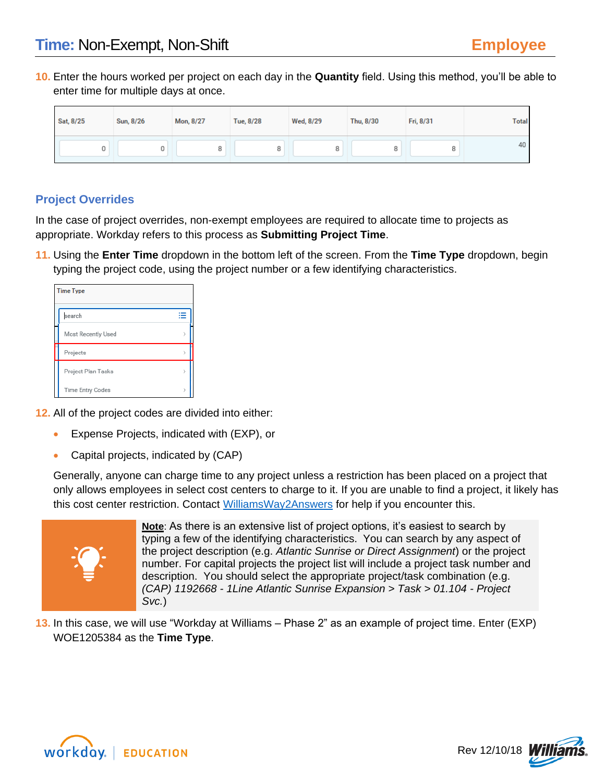**10.** Enter the hours worked per project on each day in the **Quantity** field. Using this method, you'll be able to enter time for multiple days at once.

| Sat, 8/25 | Sun, 8/26 | Mon, 8/27 | Tue, 8/28 | Wed, 8/29 | Thu, 8/30 | Fri, 8/31 | <b>Total</b> |
|-----------|-----------|-----------|-----------|-----------|-----------|-----------|--------------|
|           |           |           | 8         | o         | 8         |           | 40           |

## **Project Overrides**

In the case of project overrides, non-exempt employees are required to allocate time to projects as appropriate. Workday refers to this process as **Submitting Project Time**.

**11.** Using the **Enter Time** dropdown in the bottom left of the screen. From the **Time Type** dropdown, begin typing the project code, using the project number or a few identifying characteristics.

| <b>Time Type</b>        |  |
|-------------------------|--|
| ≡<br>search             |  |
| Most Recently Used      |  |
| Projects                |  |
| Project Plan Tasks<br>У |  |
| Time Entry Codes<br>↘   |  |

**12.** All of the project codes are divided into either:

- Expense Projects, indicated with (EXP), or
- Capital projects, indicated by (CAP)

Generally, anyone can charge time to any project unless a restriction has been placed on a project that only allows employees in select cost centers to charge to it. If you are unable to find a project, it likely has this cost center restriction. Contact [WilliamsWay2Answers](mailto:WilliamsWay2Answers@Williams.com) for help if you encounter this.



**Note**: As there is an extensive list of project options, it's easiest to search by typing a few of the identifying characteristics. You can search by any aspect of the project description (e.g. *Atlantic Sunrise or Direct Assignment*) or the project number. For capital projects the project list will include a project task number and description. You should select the appropriate project/task combination (e.g. *(CAP) 1192668 - 1Line Atlantic Sunrise Expansion > Task > 01.104 - Project Svc.*)

**13.** In this case, we will use "Workday at Williams – Phase 2" as an example of project time. Enter (EXP) WOE1205384 as the **Time Type**.



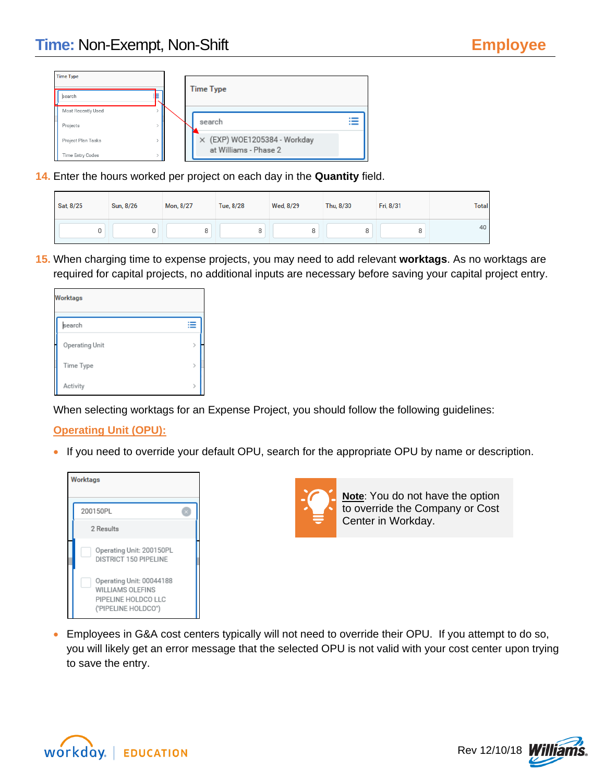| <b>Time Type</b>   |  |                              |  |
|--------------------|--|------------------------------|--|
| search             |  | <b>Time Type</b>             |  |
| Most Recently Used |  |                              |  |
| Projects           |  | search                       |  |
| Project Plan Tasks |  | X (EXP) WOE1205384 - Workday |  |
| Time Entry Codes   |  | at Williams - Phase 2        |  |

**14.** Enter the hours worked per project on each day in the **Quantity** field.

| Sat, 8/25 | Sun, 8/26 | Mon, 8/27 | Tue, 8/28 | Wed, 8/29 | Thu, 8/30 | Fri, 8/31 | <b>Total</b> |
|-----------|-----------|-----------|-----------|-----------|-----------|-----------|--------------|
|           |           |           |           |           |           |           | 40           |

**15.** When charging time to expense projects, you may need to add relevant **worktags**. As no worktags are required for capital projects, no additional inputs are necessary before saving your capital project entry.

| Worktags       |               |
|----------------|---------------|
| search         |               |
| Operating Unit | $\mathcal{E}$ |
| Time Type      | $\mathcal{E}$ |
| Activity       |               |

When selecting worktags for an Expense Project, you should follow the following guidelines:

### **Operating Unit (OPU):**

• If you need to override your default OPU, search for the appropriate OPU by name or description.





**Note**: You do not have the option to override the Company or Cost Center in Workday.

• Employees in G&A cost centers typically will not need to override their OPU. If you attempt to do so, you will likely get an error message that the selected OPU is not valid with your cost center upon trying to save the entry.



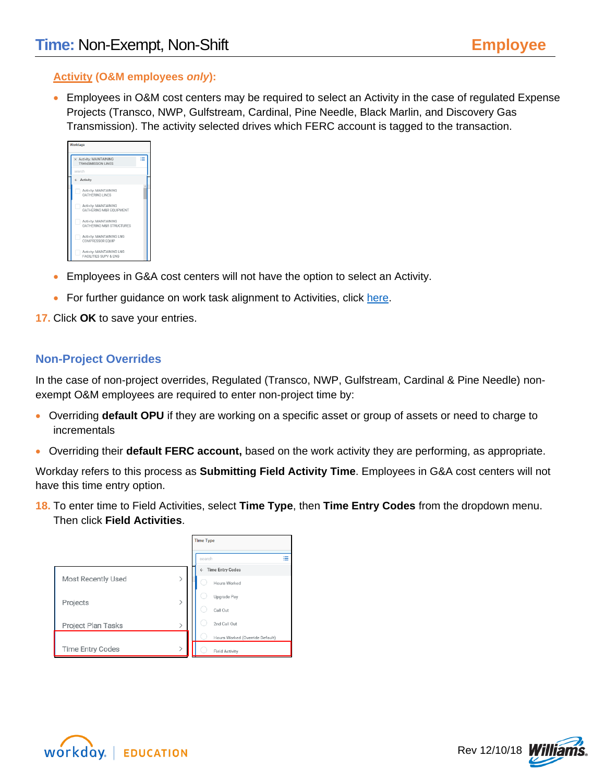### **Activity (O&M employees** *only***):**

• Employees in O&M cost centers may be required to select an Activity in the case of regulated Expense Projects (Transco, NWP, Gulfstream, Cardinal, Pine Needle, Black Marlin, and Discovery Gas Transmission). The activity selected drives which FERC account is tagged to the transaction.

| Worktags                                                      |   |  |
|---------------------------------------------------------------|---|--|
| X Activity: MAINTAINING<br><b>TRANSMISSION LINES</b>          | ÷ |  |
| search                                                        |   |  |
| ← Activity                                                    |   |  |
| Activity: MAINTAINING<br><b>GATHERING LINES</b>               |   |  |
| Activity: MAINTAINING<br>GATHERING M&R EQUIPMENT              |   |  |
| Activity: MAINTAINING<br><b>GATHERING M&amp;R STRUCTURES</b>  |   |  |
| Activity: MAINTAINING LNG<br>COMPRESSOR EQUIP                 |   |  |
| Activity: MAINTAINING LNG<br><b>FACILITIES SUPV &amp; ENG</b> |   |  |

- Employees in G&A cost centers will not have the option to select an Activity.
- For further guidance on work task alignment to Activities, click [here.](http://my.williams.com/depts/enterprise/ent_accounting/Pages/Account-Coding.aspx)
- **17.** Click **OK** to save your entries.

### **Non-Project Overrides**

In the case of non-project overrides, Regulated (Transco, NWP, Gulfstream, Cardinal & Pine Needle) nonexempt O&M employees are required to enter non-project time by:

- Overriding **default OPU** if they are working on a specific asset or group of assets or need to charge to incrementals
- Overriding their **default FERC account,** based on the work activity they are performing, as appropriate.

Workday refers to this process as **Submitting Field Activity Time**. Employees in G&A cost centers will not have this time entry option.

**18.** To enter time to Field Activities, select **Time Type**, then **Time Entry Codes** from the dropdown menu. Then click **Field Activities**.

|                         | <b>Time Type</b> |                                         |  |
|-------------------------|------------------|-----------------------------------------|--|
|                         |                  | ≘<br>search                             |  |
|                         |                  | <b>Time Entry Codes</b><br>$\leftarrow$ |  |
| Most Recently Used      |                  | Hours Worked                            |  |
| Projects                |                  | Upgrade Pay                             |  |
|                         |                  | Call Out                                |  |
| Project Plan Tasks      |                  | 2nd Call Out                            |  |
|                         |                  | Hours Worked (Override Default)         |  |
| <b>Time Entry Codes</b> | ↘                | <b>Field Activity</b>                   |  |



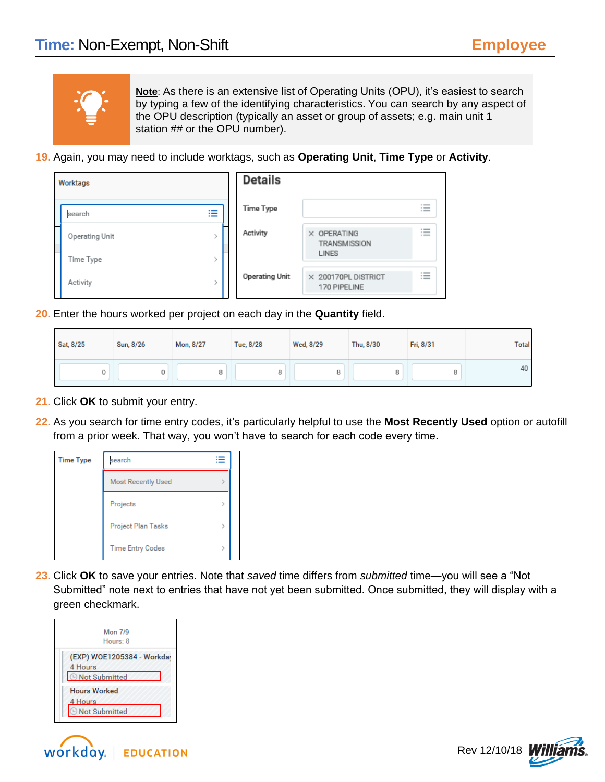

**Note**: As there is an extensive list of Operating Units (OPU), it's easiest to search by typing a few of the identifying characteristics. You can search by any aspect of the OPU description (typically an asset or group of assets; e.g. main unit 1 station ## or the OPU number).

**19.** Again, you may need to include worktags, such as **Operating Unit**, **Time Type** or **Activity**.

| Worktags       |   | <b>Details</b>        |                                            |                              |
|----------------|---|-----------------------|--------------------------------------------|------------------------------|
| search         | 洼 | Time Type             |                                            | $\sim$<br>$\sim$<br>$\cdots$ |
| Operating Unit |   | Activity              | X OPERATING<br><b>TRANSMISSION</b>         | $\sim$<br>$\sim$<br>$\cdots$ |
| Time Type      |   |                       | LINES                                      |                              |
| Activity       |   | <b>Operating Unit</b> | $\times$ 200170PL DISTRICT<br>170 PIPELINE | $\sim$<br>$\equiv$           |

**20.** Enter the hours worked per project on each day in the **Quantity** field.

| Sat, 8/25 | Sun, 8/26 | Mon, 8/27 | Tue, 8/28 | Wed, 8/29 | Thu, 8/30 | Fri, 8/31 | <b>Total</b> |
|-----------|-----------|-----------|-----------|-----------|-----------|-----------|--------------|
| 0         | 0         | 8         | 8         | o         | 8         | õ         | 40           |

- **21.** Click **OK** to submit your entry.
- **22.** As you search for time entry codes, it's particularly helpful to use the **Most Recently Used** option or autofill from a prior week. That way, you won't have to search for each code every time.



**23.** Click **OK** to save your entries. Note that *saved* time differs from *submitted* time—you will see a "Not Submitted" note next to entries that have not yet been submitted. Once submitted, they will display with a green checkmark.

|         |                               | <b>Mon 7/9</b> |                            |  |
|---------|-------------------------------|----------------|----------------------------|--|
|         |                               | Hours: 8       |                            |  |
| 4 Hours |                               |                | (EXP) WOE1205384 - Workday |  |
|         | <b>O</b> Not Submitted        |                |                            |  |
|         | <b>Hours Worked</b>           |                |                            |  |
| 4 Hours |                               |                |                            |  |
|         | <b><i>O</i></b> Not Submitted |                |                            |  |



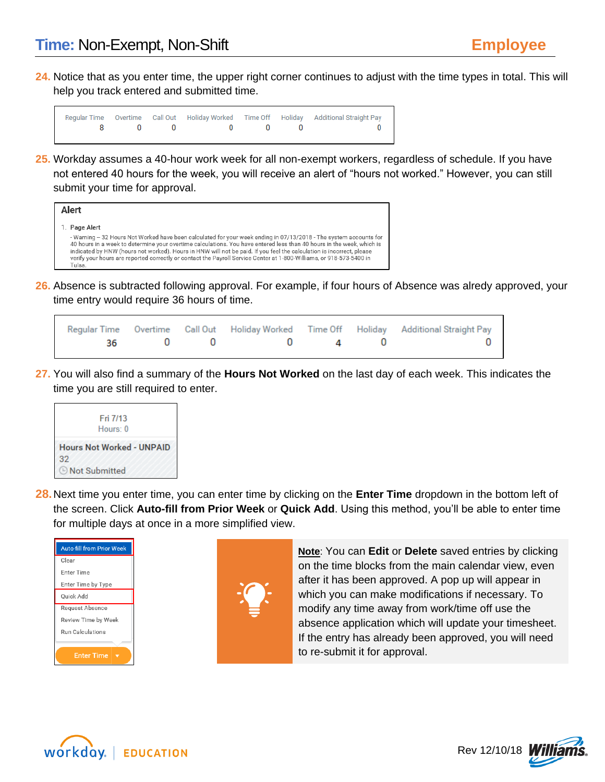**24.** Notice that as you enter time, the upper right corner continues to adjust with the time types in total. This will help you track entered and submitted time.

|  |         |  | Regular Time Overtime Call Out Holiday Worked Time Off Holiday Additional Straight Pay |
|--|---------|--|----------------------------------------------------------------------------------------|
|  | 8000000 |  | $\sim$ 0.000 $\sim$ 0.000 $\sim$ 0.000 $\sim$                                          |

**25.** Workday assumes a 40-hour work week for all non-exempt workers, regardless of schedule. If you have not entered 40 hours for the week, you will receive an alert of "hours not worked." However, you can still submit your time for approval.



**26.** Absence is subtracted following approval. For example, if four hours of Absence was alredy approved, your time entry would require 36 hours of time.

|  |              |  | Regular Time Overtime Call Out Holiday Worked Time Off Holiday Additional Straight Pay |
|--|--------------|--|----------------------------------------------------------------------------------------|
|  | 36 0 0 0 4 0 |  |                                                                                        |

**27.** You will also find a summary of the **Hours Not Worked** on the last day of each week. This indicates the time you are still required to enter.



**28.**Next time you enter time, you can enter time by clicking on the **Enter Time** dropdown in the bottom left of the screen. Click **Auto-fill from Prior Week** or **Quick Add**. Using this method, you'll be able to enter time for multiple days at once in a more simplified view.

| <b>Auto-fill from Prior Week</b> |
|----------------------------------|
| Clear                            |
| <b>Enter Time</b>                |
| Enter Time by Type               |
| <b>Ouick Add</b>                 |
| Request Absence                  |
| Review Time by Week              |
| Run Calculations                 |
|                                  |
| <b>Enter Time</b>                |



**Note**: You can **Edit** or **Delete** saved entries by clicking on the time blocks from the main calendar view, even after it has been approved. A pop up will appear in which you can make modifications if necessary. To modify any time away from work/time off use the absence application which will update your timesheet. If the entry has already been approved, you will need to re-submit it for approval.



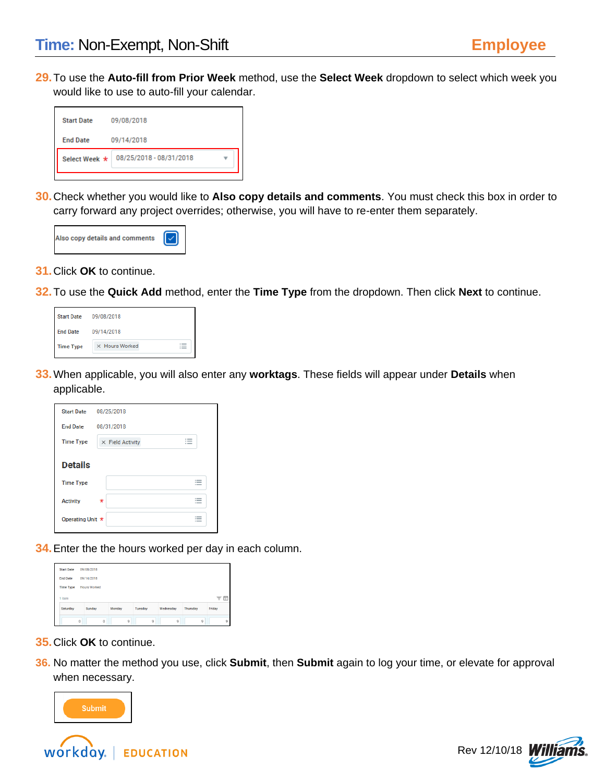**29.**To use the **Auto-fill from Prior Week** method, use the **Select Week** dropdown to select which week you would like to use to auto-fill your calendar.



**30.**Check whether you would like to **Also copy details and comments**. You must check this box in order to carry forward any project overrides; otherwise, you will have to re-enter them separately.



- **31.**Click **OK** to continue.
- **32.**To use the **Quick Add** method, enter the **Time Type** from the dropdown. Then click **Next** to continue.

| <b>Start Date</b> | 09/08/2018     |
|-------------------|----------------|
| <b>End Date</b>   | 09/14/2018     |
| <b>Time Type</b>  | X Hours Worked |

**33.**When applicable, you will also enter any **worktags**. These fields will appear under **Details** when applicable.

| <b>Start Date</b> | 08/25/2018                                                             |
|-------------------|------------------------------------------------------------------------|
| <b>End Date</b>   | 08/31/2018                                                             |
| <b>Time Type</b>  | 1.500<br>$\times$ Field Activity<br>$\overline{\phantom{a}}$<br>$\sim$ |
| <b>Details</b>    |                                                                        |
| <b>Time Type</b>  | $\sim$<br>$-$<br>$\overline{\phantom{a}}$                              |
| <b>Activity</b>   | $1 - 2 = 1$<br>$\star$<br>$\overline{\phantom{a}}$<br>$\cdots$         |
| Operating Unit *  | $\cdots$<br>$\sim$<br>$\cdots$                                         |

**34.**Enter the the hours worked per day in each column.

| <b>End Date</b>  | 09/14/2018          |        |                |           |                 |        |  |
|------------------|---------------------|--------|----------------|-----------|-----------------|--------|--|
| <b>Time Type</b> | <b>Hours Worked</b> |        |                |           |                 |        |  |
|                  |                     |        |                |           |                 |        |  |
| 1 item           |                     |        |                |           |                 | 三丘     |  |
| Saturday         | Sunday              | Monday | <b>Tuesday</b> | Wednesday | <b>Thursday</b> | Friday |  |

- **35.**Click **OK** to continue.
- **36.** No matter the method you use, click **Submit**, then **Submit** again to log your time, or elevate for approval when necessary.